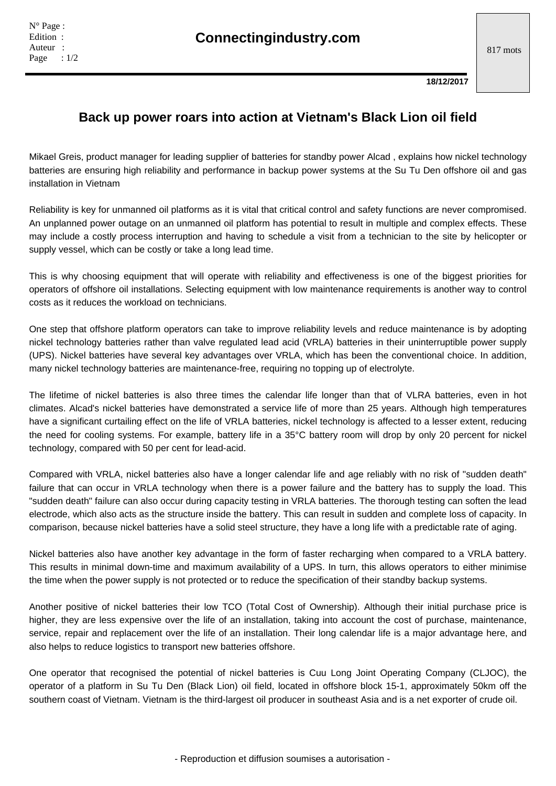**18/12/2017**

## **Back up power roars into action at Vietnam's Black Lion oil field**

Mikael Greis, product manager for leading supplier of batteries for standby power Alcad , explains how nickel technology batteries are ensuring high reliability and performance in backup power systems at the Su Tu Den offshore oil and gas installation in Vietnam

Reliability is key for unmanned oil platforms as it is vital that critical control and safety functions are never compromised. An unplanned power outage on an unmanned oil platform has potential to result in multiple and complex effects. These may include a costly process interruption and having to schedule a visit from a technician to the site by helicopter or supply vessel, which can be costly or take a long lead time.

This is why choosing equipment that will operate with reliability and effectiveness is one of the biggest priorities for operators of offshore oil installations. Selecting equipment with low maintenance requirements is another way to control costs as it reduces the workload on technicians.

One step that offshore platform operators can take to improve reliability levels and reduce maintenance is by adopting nickel technology batteries rather than valve regulated lead acid (VRLA) batteries in their uninterruptible power supply (UPS). Nickel batteries have several key advantages over VRLA, which has been the conventional choice. In addition, many nickel technology batteries are maintenance-free, requiring no topping up of electrolyte.

The lifetime of nickel batteries is also three times the calendar life longer than that of VLRA batteries, even in hot climates. Alcad's nickel batteries have demonstrated a service life of more than 25 years. Although high temperatures have a significant curtailing effect on the life of VRLA batteries, nickel technology is affected to a lesser extent, reducing the need for cooling systems. For example, battery life in a 35°C battery room will drop by only 20 percent for nickel technology, compared with 50 per cent for lead-acid.

Compared with VRLA, nickel batteries also have a longer calendar life and age reliably with no risk of "sudden death" failure that can occur in VRLA technology when there is a power failure and the battery has to supply the load. This "sudden death" failure can also occur during capacity testing in VRLA batteries. The thorough testing can soften the lead electrode, which also acts as the structure inside the battery. This can result in sudden and complete loss of capacity. In comparison, because nickel batteries have a solid steel structure, they have a long life with a predictable rate of aging.

Nickel batteries also have another key advantage in the form of faster recharging when compared to a VRLA battery. This results in minimal down-time and maximum availability of a UPS. In turn, this allows operators to either minimise the time when the power supply is not protected or to reduce the specification of their standby backup systems.

Another positive of nickel batteries their low TCO (Total Cost of Ownership). Although their initial purchase price is higher, they are less expensive over the life of an installation, taking into account the cost of purchase, maintenance, service, repair and replacement over the life of an installation. Their long calendar life is a major advantage here, and also helps to reduce logistics to transport new batteries offshore.

One operator that recognised the potential of nickel batteries is Cuu Long Joint Operating Company (CLJOC), the operator of a platform in Su Tu Den (Black Lion) oil field, located in offshore block 15-1, approximately 50km off the southern coast of Vietnam. Vietnam is the third-largest oil producer in southeast Asia and is a net exporter of crude oil.